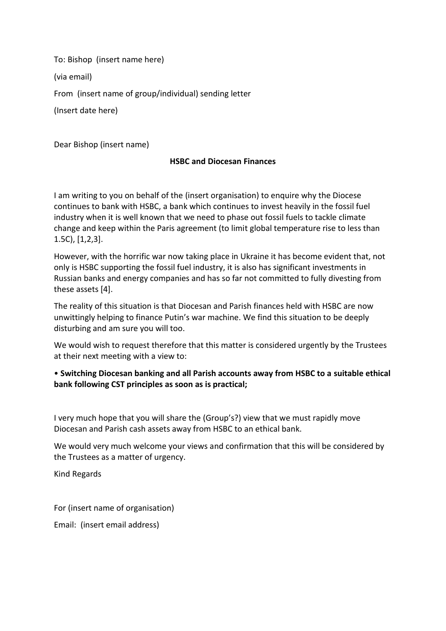To: Bishop (insert name here)

(via email)

From (insert name of group/individual) sending letter

(Insert date here)

Dear Bishop (insert name)

## **HSBC and Diocesan Finances**

I am writing to you on behalf of the (insert organisation) to enquire why the Diocese continues to bank with HSBC, a bank which continues to invest heavily in the fossil fuel industry when it is well known that we need to phase out fossil fuels to tackle climate change and keep within the Paris agreement (to limit global temperature rise to less than 1.5C), [1,2,3].

However, with the horrific war now taking place in Ukraine it has become evident that, not only is HSBC supporting the fossil fuel industry, it is also has significant investments in Russian banks and energy companies and has so far not committed to fully divesting from these assets [4].

The reality of this situation is that Diocesan and Parish finances held with HSBC are now unwittingly helping to finance Putin's war machine. We find this situation to be deeply disturbing and am sure you will too.

We would wish to request therefore that this matter is considered urgently by the Trustees at their next meeting with a view to:

## • **Switching Diocesan banking and all Parish accounts away from HSBC to a suitable ethical bank following CST principles as soon as is practical;**

I very much hope that you will share the (Group's?) view that we must rapidly move Diocesan and Parish cash assets away from HSBC to an ethical bank.

We would very much welcome your views and confirmation that this will be considered by the Trustees as a matter of urgency.

Kind Regards

For (insert name of organisation)

Email: (insert email address)